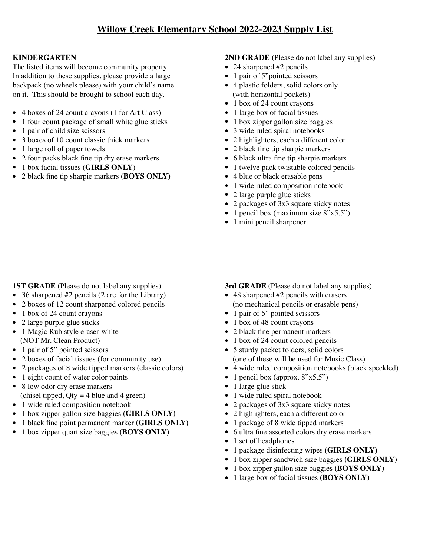# **KINDERGARTEN**

The listed items will become community property. In addition to these supplies, please provide a large backpack (no wheels please) with your child's name on it. This should be brought to school each day.

- 4 boxes of 24 count crayons (1 for Art Class)
- 1 four count package of small white glue sticks
- 1 pair of child size scissors
- 3 boxes of 10 count classic thick markers
- 1 large roll of paper towels
- 2 four packs black fine tip dry erase markers
- 1 box facial tissues (**GIRLS ONLY**)
- 2 black fine tip sharpie markers **(BOYS ONLY)**

# **1ST GRADE** (Please do not label any supplies)

- 36 sharpened #2 pencils (2 are for the Library)
- 2 boxes of 12 count sharpened colored pencils
- 1 box of 24 count crayons
- 2 large purple glue sticks
- 1 Magic Rub style eraser-white (NOT Mr. Clean Product)
- 1 pair of 5" pointed scissors
- 2 boxes of facial tissues (for community use)
- 2 packages of 8 wide tipped markers (classic colors)
- 1 eight count of water color paints
- 8 low odor dry erase markers (chisel tipped,  $Qty = 4$  blue and 4 green)
- 1 wide ruled composition notebook
- 1 box zipper gallon size baggies **(GIRLS ONLY)**
- 1 black fine point permanent marker **(GIRLS ONLY)**
- 1 box zipper quart size baggies **(BOYS ONLY)**

#### **2ND GRADE (**Please do not label any supplies)

- 24 sharpened #2 pencils
- 1 pair of 5"pointed scissors
- 4 plastic folders, solid colors only (with horizontal pockets)
- 1 box of 24 count crayons
- 1 large box of facial tissues
- 1 box zipper gallon size baggies
- 3 wide ruled spiral notebooks
- 2 highlighters, each a different color
- 2 black fine tip sharpie markers
- 6 black ultra fine tip sharpie markers
- 1 twelve pack twistable colored pencils
- 4 blue or black erasable pens
- 1 wide ruled composition notebook
- 2 large purple glue sticks
- 2 packages of 3x3 square sticky notes
- 1 pencil box (maximum size 8"x5.5")
- 1 mini pencil sharpener

### **3rd GRADE** (Please do not label any supplies)

- 48 sharpened #2 pencils with erasers (no mechanical pencils or erasable pens)
- 1 pair of 5" pointed scissors
- 1 box of 48 count crayons
- 2 black fine permanent markers
- 1 box of 24 count colored pencils
- 5 sturdy packet folders, solid colors (one of these will be used for Music Class)
- 4 wide ruled composition notebooks (black speckled)
- 1 pencil box (approx.  $8"x5.5"$ )
- 1 large glue stick
- 1 wide ruled spiral notebook
- 2 packages of 3x3 square sticky notes
- 2 highlighters, each a different color
- 1 package of 8 wide tipped markers
- 6 ultra fine assorted colors dry erase markers
- 1 set of headphones
- 1 package disinfecting wipes **(GIRLS ONLY)**
- 1 box zipper sandwich size baggies **(GIRLS ONLY)**
- 1 box zipper gallon size baggies **(BOYS ONLY)**
- 1 large box of facial tissues **(BOYS ONLY)**